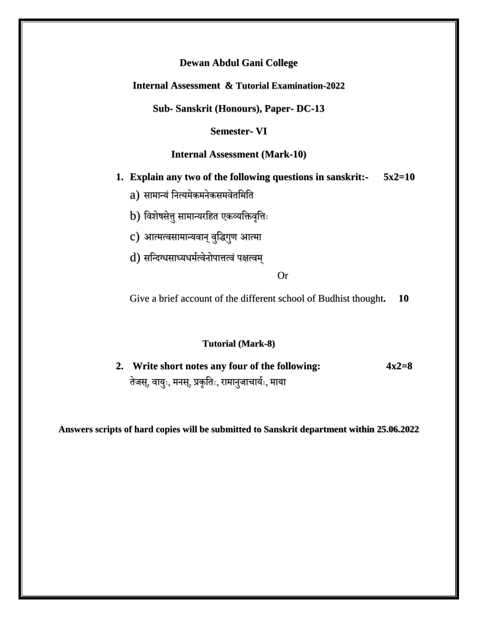**Internal Assessment & Tutorial Examination-2022**

**Sub- Sanskrit (Honours), Paper- DC-13**

**Semester- VI**

### **Internal Assessment (Mark-10)**

- **1. Explain any two of the following questions in sanskrit:- 5x2=10**
	- a) सामान्यं नित्यमेकमनेकसमवेतमिति

b) विशेषसेतु सामान्यरहित एकव्यक्तिवृत्तिः

- c) आत्मत्वसामान्यवान् वुद्धिगुण आत्मा
- d) सन्दिग्धसाध्यधर्मत्वेनोपात्तत्वं पक्षत्वम्

### Or

Give a brief account of the different school of Budhist thought**. 10**

#### **Tutorial (Mark-8)**

**2. Write short notes any four of the following: 4x2=8** तेजस्, वायुः, मनस्, प्रकृतिः, रामानुजाचार्यः, माया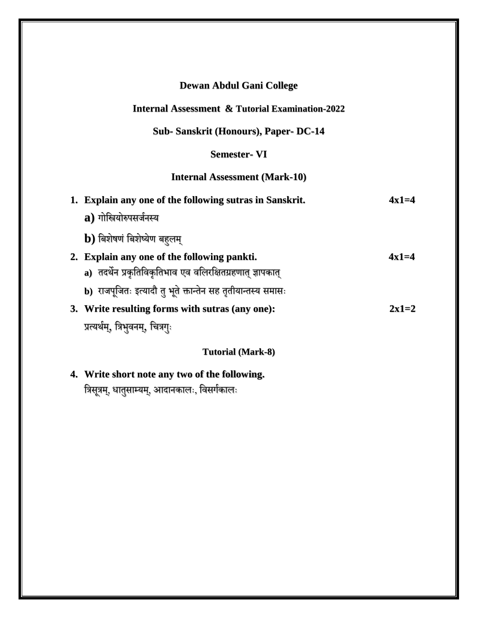# **Internal Assessment & Tutorial Examination-2022**

# **Sub- Sanskrit (Honours), Paper- DC-14**

# **Semester- VI**

# **Internal Assessment (Mark-10)**

| 1. Explain any one of the following sutras in Sanskrit.      | $4x1=4$ |
|--------------------------------------------------------------|---------|
| a) गोस्त्रियोरुपसर्जनस्य                                     |         |
| $\mathbf b$ ) बिशेषणं बिशेष्येण बहुलम्                       |         |
| 2. Explain any one of the following pankti.                  | $4x1=4$ |
| a)  तदर्थेन प्रकृतिविकृतिभाव एव वलिरक्षितग्रहणात् ज्ञापकात्  |         |
| b) राजपूजितः इत्यादौ तु भूते क्तान्तेन सह तृतीयान्तस्य समासः |         |
| 3. Write resulting forms with sutras (any one):              | $2x1=2$ |
| प्रत्यर्थम्, त्रिभुवनम्, चित्रगुः                            |         |
| <b>Tutorial (Mark-8)</b>                                     |         |

# **4. Write short note any two of the following.** त्रिसूत्रम्, धातुसाम्यम्, आदानकालः, विसर्गकालः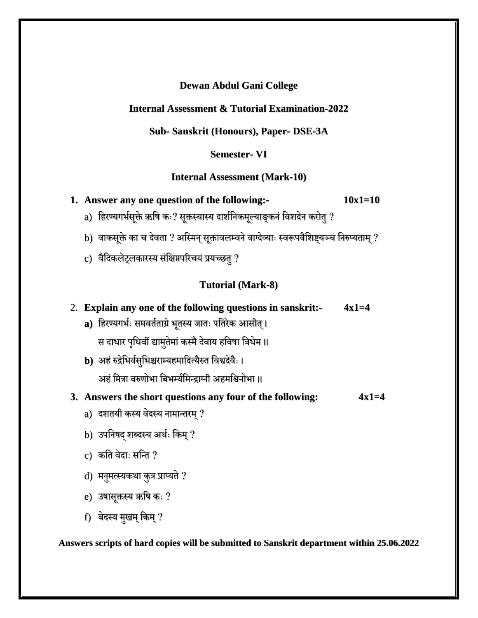# **Internal Assessment & Tutorial Examination-2022**

# **Sub- Sanskrit (Honours), Paper- DSE-3A**

### **Semester- VI**

### **Internal Assessment (Mark-10)**

**1. Answer any one question of the following:- 10x1=10**

- a) हिरण्यगर्भसूक्ते ऋषि कः? सूक्तस्यास्य दार्शनिकमूल्याङ्कनं विशदेन करोतु ?
- b) वाकसूक्ते का च देवता ? अस्मिन् सूक्तावलम्वने वाग्देव्याः स्वरूपवैशिष्ट्यञ्च निरुप्यताम् ?
- c) वैदिकलेट्लकारस्य संक्षिप्तपरिचयं प्रयच्छतु ?

# **Tutorial (Mark-8)**

# 2. **Explain any one of the following questions in sanskrit:- 4x1=4**

- a) हिरण्यगर्भः समवर्तताग्रे भूतस्य जातः पतिरेक आसीत् । स दाधार पृधिवीं द्यामुतेमां कस्मै देवाय हविषा विधेम ॥
- **b**) अहं रुद्रेभिर्वसुभिश्चराम्यहमादित्यैरुत विश्वदेवैः । अहं मित्रा वरुणोभा बिभर्म्यमिन्द्राग्नी अहमश्विनोभा ॥

# **3. Answers the short questions any four of the following: 4x1=4**

- a) दशतयी कस्य वेदस्य नामान्तरम् ?
- b) उपनिषद् शब्दस्य अर्थः किम् ?
- c) कति वेदाः सन्ति ?
- d) मनुमत्स्यकथा कुत्र प्राप्यते ?
- e) उषासूक्तस्य ऋषि कः ?
- f) वेदस्य मुखम् किम् ?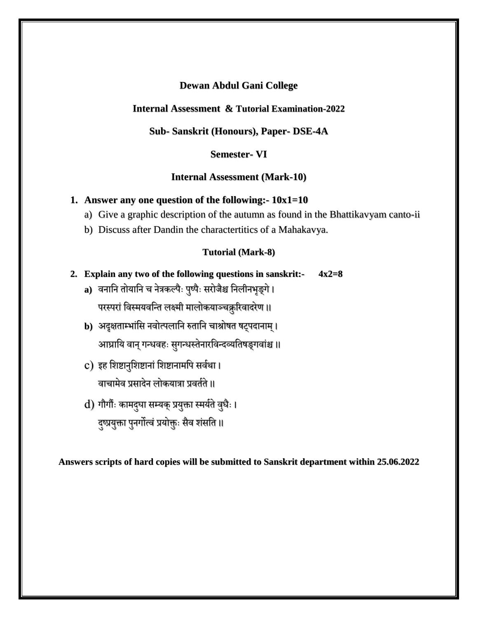### **Internal Assessment & Tutorial Examination-2022**

# **Sub- Sanskrit (Honours), Paper- DSE-4A**

### **Semester- VI**

#### **Internal Assessment (Mark-10)**

#### **1. Answer any one question of the following:- 10x1=10**

- a) Give a graphic description of the autumn as found in the Bhattikavyam canto-ii
- b) Discuss after Dandin the charactertitics of a Mahakavya.

#### **Tutorial (Mark-8)**

- **2. Explain any two of the following questions in sanskrit:- 4x2=8**
	- a) वनानि तोयानि च नेत्रकल्पैः पुष्पैः सरोजैश्च निलीनभृङ्गे। परस्परां विस्मयवन्ति लक्ष्मी मालोकयाञ्चक्रुरिवादरेण ॥
	- **b)** अदृक्षताम्भांसि नवोत्पलानि रुतानि चाश्रोषत षट्पदानाम् । आघ्रायि वान् गन्धवहः सुगन्धस्तेनारविन्दव्यतिषङ्गवांश्च ॥
	- c) इह शिष्टानुशिष्टानां शिष्टानामपि सर्वथा । वाचामेव प्रसादेन लोकयात्रा प्रवर्तते ॥
	- d) गौगौंः कामद्घा सम्यक् प्रयुक्ता स्मर्यते वुधैः । दुष्प्रयुक्ता पुनर्गोत्वं प्रयोक्तुः सैव शंसति ॥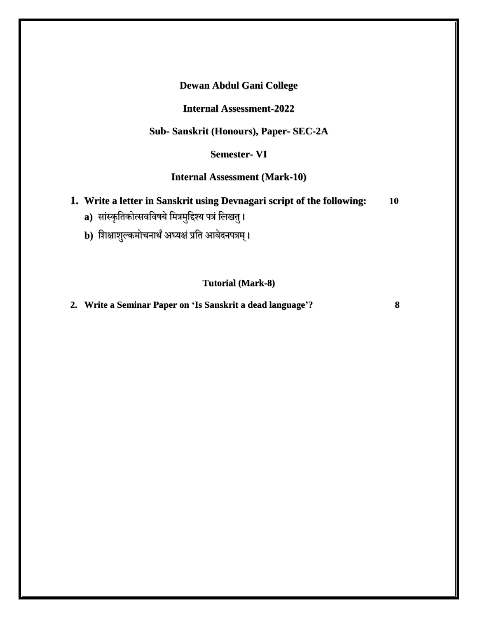### **Internal Assessment-2022**

# **Sub- Sanskrit (Honours), Paper- SEC-2A**

# **Semester- VI**

# **Internal Assessment (Mark-10)**

- **1. Write a letter in Sanskrit using Devnagari script of the following: 10**
	- **a)** सांस्कृतिकोत्सवविषये मित्रमुद्दिश्य पत्रं लिखतु ।
	- **b**) शिक्षाशुल्कमोचनार्थं अध्यक्षं प्रति आवेदनपत्रम् ।

# **Tutorial (Mark-8)**

### **2. Write a Seminar Paper on 'Is Sanskrit a dead language'? 8**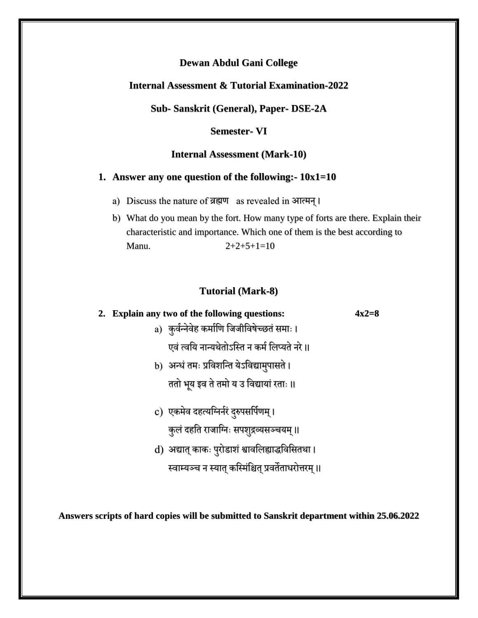### **Internal Assessment & Tutorial Examination-2022**

**Sub- Sanskrit (General), Paper- DSE-2A**

### **Semester- VI**

#### **Internal Assessment (Mark-10)**

#### **1. Answer any one question of the following:- 10x1=10**

- a) Discuss the nature of व्रह्मण as revealed in आत्मि्।
- b) What do you mean by the fort. How many type of forts are there. Explain their characteristic and importance. Which one of them is the best according to Manu.  $2+2+5+1=10$

#### **Tutorial (Mark-8)**

# **2. Explain any two of the following questions: 4x2=8** a) कुर्वन्नेवेह कर्माणि जिजीविषेच्छतं समाः ।

- एवं त्वयि नान्यथेतोऽस्ति न कर्म लिप्यते नरे ॥
- b) अन्धं तमः प्रविशन्ति येऽविद्यामुपासते । ततो भूय इव ते तमो य उ विद्यायां रताः ॥
- c) एकमेव दहत्यग्निर्नरं दुरुपसर्पिणम् । कुलं दहति राजाग्निः सपशुद्रव्यसञ्चयम् ॥
- d) अद्यात् काकः पुरोडाशं श्वावलिह्याद्धविसितथा ।

स्वाम्यञ्च न स्यात् कस्मिंश्चित् प्रवर्तेताधरोत्तरम्॥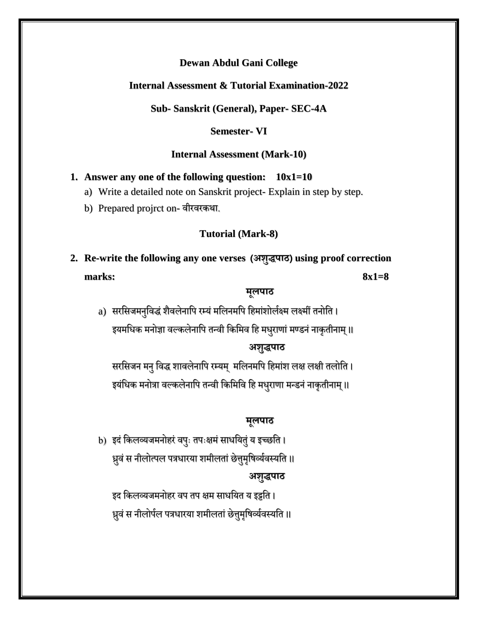# **Internal Assessment & Tutorial Examination-2022**

**Sub- Sanskrit (General), Paper- SEC-4A**

#### **Semester- VI**

#### **Internal Assessment (Mark-10)**

#### **1. Answer any one of the following question: 10x1=10**

- a) Write a detailed note on Sanskrit project- Explain in step by step.
- b) Prepared projrct on- वीरवरकर्था.

#### **Tutorial (Mark-8)**

**2. Re-write the following any one verses (अशुद्धपाठ) using proof correction marks: 8x1=8**

### **मूलपाठ**

a) सरसिजमनुविद्धं शैवलेनापि रम्यं मलिनमपि हिमांशोर्लक्ष्म लक्ष्मीं तनोति । इयमधिक मनोज्ञा वल्कलेनापि तन्वी किमिव हि मधुराणां मण्डनं नाकृतीनाम् ॥

### **अशुद्धपाठ**

सरसिजन मनु विद्ध शावलेनापि रम्यम् मलिनमपि हिमांश लक्ष लक्षी तलोति । इयंधिक मनोत्रा वल्कलेनापि तन्वी किमिवि हि मधुराणा मन्डनं नाकृतीनाम् ॥

### **मूलपाठ**

b) इदं किलव्यजमनोहरं वपुः तपःक्षमं साधयितुं य इच्छति । ध्रुवं स नीलोत्पल पत्रधारया शमीलतां छेत्तुमृषिर्व्यवस्यति ॥ **अशुद्धपाठ**

इद किलव्यजमनोहर वप तप क्षम साधयित य इट्टति । ध्रुवं स नीलोर्पल पत्रधारया शमीलतां छेत्तुमृषिर्व्यवस्यति ॥